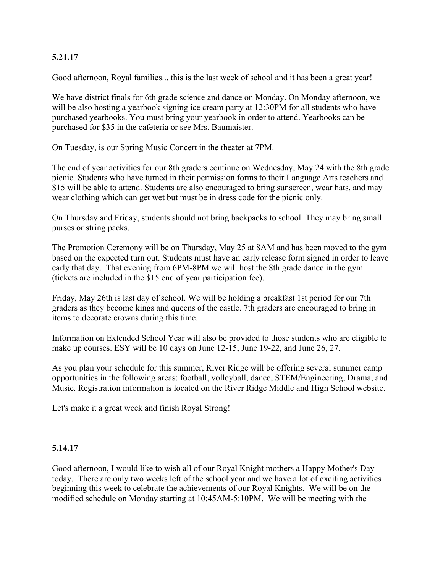### **5.21.17**

Good afternoon, Royal families... this is the last week of school and it has been a great year!

We have district finals for 6th grade science and dance on Monday. On Monday afternoon, we will be also hosting a yearbook signing ice cream party at 12:30PM for all students who have purchased yearbooks. You must bring your yearbook in order to attend. Yearbooks can be purchased for \$35 in the cafeteria or see Mrs. Baumaister.

On Tuesday, is our Spring Music Concert in the theater at 7PM.

The end of year activities for our 8th graders continue on Wednesday, May 24 with the 8th grade picnic. Students who have turned in their permission forms to their Language Arts teachers and \$15 will be able to attend. Students are also encouraged to bring sunscreen, wear hats, and may wear clothing which can get wet but must be in dress code for the picnic only.

On Thursday and Friday, students should not bring backpacks to school. They may bring small purses or string packs.

The Promotion Ceremony will be on Thursday, May 25 at 8AM and has been moved to the gym based on the expected turn out. Students must have an early release form signed in order to leave early that day. That evening from 6PM-8PM we will host the 8th grade dance in the gym (tickets are included in the \$15 end of year participation fee).

Friday, May 26th is last day of school. We will be holding a breakfast 1st period for our 7th graders as they become kings and queens of the castle. 7th graders are encouraged to bring in items to decorate crowns during this time.

Information on Extended School Year will also be provided to those students who are eligible to make up courses. ESY will be 10 days on June 12-15, June 19-22, and June 26, 27.

As you plan your schedule for this summer, River Ridge will be offering several summer camp opportunities in the following areas: football, volleyball, dance, STEM/Engineering, Drama, and Music. Registration information is located on the River Ridge Middle and High School website.

Let's make it a great week and finish Royal Strong!

# **5.14.17**

-------

Good afternoon, I would like to wish all of our Royal Knight mothers a Happy Mother's Day today. There are only two weeks left of the school year and we have a lot of exciting activities beginning this week to celebrate the achievements of our Royal Knights. We will be on the modified schedule on Monday starting at 10:45AM-5:10PM. We will be meeting with the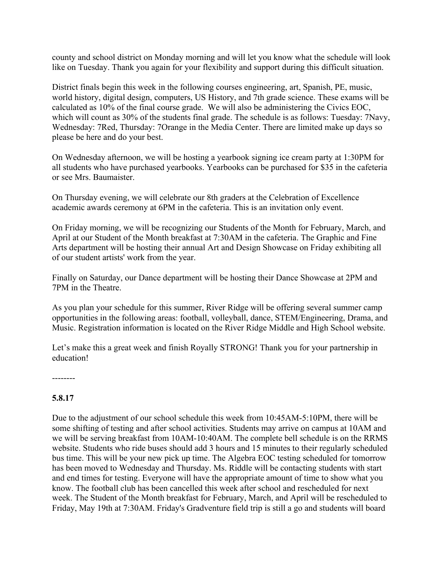county and school district on Monday morning and will let you know what the schedule will look like on Tuesday. Thank you again for your flexibility and support during this difficult situation.

District finals begin this week in the following courses engineering, art, Spanish, PE, music, world history, digital design, computers, US History, and 7th grade science. These exams will be calculated as 10% of the final course grade. We will also be administering the Civics EOC, which will count as 30% of the students final grade. The schedule is as follows: Tuesday: 7Navy, Wednesday: 7Red, Thursday: 7Orange in the Media Center. There are limited make up days so please be here and do your best.

On Wednesday afternoon, we will be hosting a yearbook signing ice cream party at 1:30PM for all students who have purchased yearbooks. Yearbooks can be purchased for \$35 in the cafeteria or see Mrs. Baumaister.

On Thursday evening, we will celebrate our 8th graders at the Celebration of Excellence academic awards ceremony at 6PM in the cafeteria. This is an invitation only event.

On Friday morning, we will be recognizing our Students of the Month for February, March, and April at our Student of the Month breakfast at 7:30AM in the cafeteria. The Graphic and Fine Arts department will be hosting their annual Art and Design Showcase on Friday exhibiting all of our student artists' work from the year.

Finally on Saturday, our Dance department will be hosting their Dance Showcase at 2PM and 7PM in the Theatre.

As you plan your schedule for this summer, River Ridge will be offering several summer camp opportunities in the following areas: football, volleyball, dance, STEM/Engineering, Drama, and Music. Registration information is located on the River Ridge Middle and High School website.

Let's make this a great week and finish Royally STRONG! Thank you for your partnership in education!

--------

#### **5.8.17**

Due to the adjustment of our school schedule this week from 10:45AM-5:10PM, there will be some shifting of testing and after school activities. Students may arrive on campus at 10AM and we will be serving breakfast from 10AM-10:40AM. The complete bell schedule is on the RRMS website. Students who ride buses should add 3 hours and 15 minutes to their regularly scheduled bus time. This will be your new pick up time. The Algebra EOC testing scheduled for tomorrow has been moved to Wednesday and Thursday. Ms. Riddle will be contacting students with start and end times for testing. Everyone will have the appropriate amount of time to show what you know. The football club has been cancelled this week after school and rescheduled for next week. The Student of the Month breakfast for February, March, and April will be rescheduled to Friday, May 19th at 7:30AM. Friday's Gradventure field trip is still a go and students will board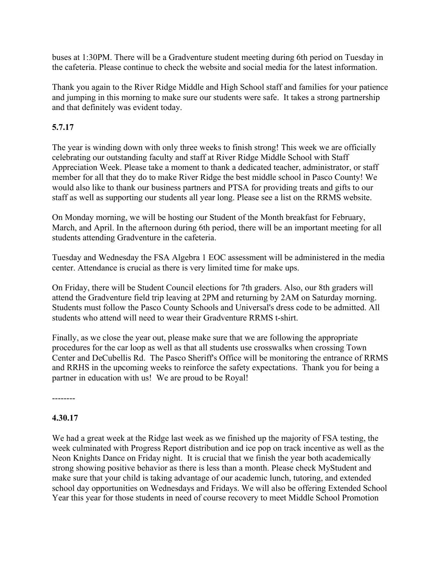buses at 1:30PM. There will be a Gradventure student meeting during 6th period on Tuesday in the cafeteria. Please continue to check the website and social media for the latest information.

Thank you again to the River Ridge Middle and High School staff and families for your patience and jumping in this morning to make sure our students were safe. It takes a strong partnership and that definitely was evident today.

## **5.7.17**

The year is winding down with only three weeks to finish strong! This week we are officially celebrating our outstanding faculty and staff at River Ridge Middle School with Staff Appreciation Week. Please take a moment to thank a dedicated teacher, administrator, or staff member for all that they do to make River Ridge the best middle school in Pasco County! We would also like to thank our business partners and PTSA for providing treats and gifts to our staff as well as supporting our students all year long. Please see a list on the RRMS website.

On Monday morning, we will be hosting our Student of the Month breakfast for February, March, and April. In the afternoon during 6th period, there will be an important meeting for all students attending Gradventure in the cafeteria.

Tuesday and Wednesday the FSA Algebra 1 EOC assessment will be administered in the media center. Attendance is crucial as there is very limited time for make ups.

On Friday, there will be Student Council elections for 7th graders. Also, our 8th graders will attend the Gradventure field trip leaving at 2PM and returning by 2AM on Saturday morning. Students must follow the Pasco County Schools and Universal's dress code to be admitted. All students who attend will need to wear their Gradventure RRMS t-shirt.

Finally, as we close the year out, please make sure that we are following the appropriate procedures for the car loop as well as that all students use crosswalks when crossing Town Center and DeCubellis Rd. The Pasco Sheriff's Office will be monitoring the entrance of RRMS and RRHS in the upcoming weeks to reinforce the safety expectations. Thank you for being a partner in education with us! We are proud to be Royal!

--------

#### **4.30.17**

We had a great week at the Ridge last week as we finished up the majority of FSA testing, the week culminated with Progress Report distribution and ice pop on track incentive as well as the Neon Knights Dance on Friday night. It is crucial that we finish the year both academically strong showing positive behavior as there is less than a month. Please check MyStudent and make sure that your child is taking advantage of our academic lunch, tutoring, and extended school day opportunities on Wednesdays and Fridays. We will also be offering Extended School Year this year for those students in need of course recovery to meet Middle School Promotion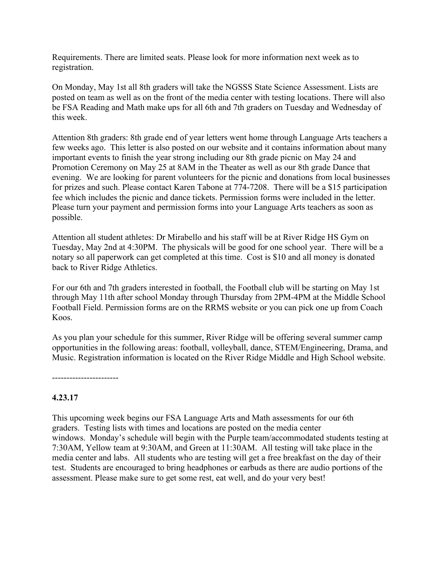Requirements. There are limited seats. Please look for more information next week as to registration.

On Monday, May 1st all 8th graders will take the NGSSS State Science Assessment. Lists are posted on team as well as on the front of the media center with testing locations. There will also be FSA Reading and Math make ups for all 6th and 7th graders on Tuesday and Wednesday of this week.

Attention 8th graders: 8th grade end of year letters went home through Language Arts teachers a few weeks ago. This letter is also posted on our website and it contains information about many important events to finish the year strong including our 8th grade picnic on May 24 and Promotion Ceremony on May 25 at 8AM in the Theater as well as our 8th grade Dance that evening. We are looking for parent volunteers for the picnic and donations from local businesses for prizes and such. Please contact Karen Tabone at 774-7208. There will be a \$15 participation fee which includes the picnic and dance tickets. Permission forms were included in the letter. Please turn your payment and permission forms into your Language Arts teachers as soon as possible.

Attention all student athletes: Dr Mirabello and his staff will be at River Ridge HS Gym on Tuesday, May 2nd at 4:30PM. The physicals will be good for one school year. There will be a notary so all paperwork can get completed at this time. Cost is \$10 and all money is donated back to River Ridge Athletics.

For our 6th and 7th graders interested in football, the Football club will be starting on May 1st through May 11th after school Monday through Thursday from 2PM-4PM at the Middle School Football Field. Permission forms are on the RRMS website or you can pick one up from Coach Koos.

As you plan your schedule for this summer, River Ridge will be offering several summer camp opportunities in the following areas: football, volleyball, dance, STEM/Engineering, Drama, and Music. Registration information is located on the River Ridge Middle and High School website.

-----------------------

#### **4.23.17**

This upcoming week begins our FSA Language Arts and Math assessments for our 6th graders. Testing lists with times and locations are posted on the media center windows. Monday's schedule will begin with the Purple team/accommodated students testing at 7:30AM, Yellow team at 9:30AM, and Green at 11:30AM. All testing will take place in the media center and labs. All students who are testing will get a free breakfast on the day of their test. Students are encouraged to bring headphones or earbuds as there are audio portions of the assessment. Please make sure to get some rest, eat well, and do your very best!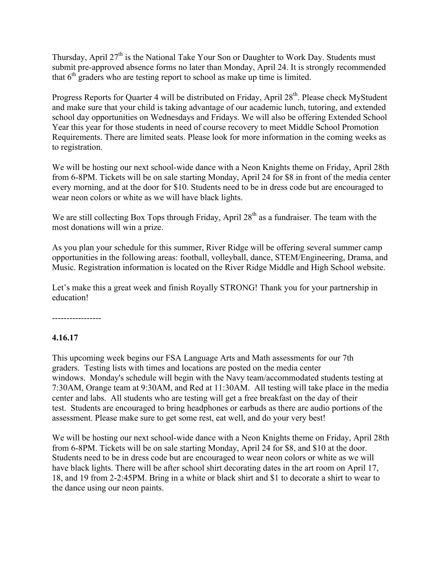Thursday, April 27<sup>th</sup> is the National Take Your Son or Daughter to Work Day. Students must submit pre-approved absence forms no later than Monday, April 24. It is strongly recommended that  $6<sup>th</sup>$  graders who are testing report to school as make up time is limited.

Progress Reports for Quarter 4 will be distributed on Friday, April 28<sup>th</sup>. Please check MyStudent and make sure that your child is taking advantage of our academic lunch, tutoring, and extended school day opportunities on Wednesdays and Fridays. We will also be offering Extended School Year this year for those students in need of course recovery to meet Middle School Promotion Requirements. There are limited seats. Please look for more information in the coming weeks as to registration.

We will be hosting our next school-wide dance with a Neon Knights theme on Friday, April 28th from 6-8PM. Tickets will be on sale starting Monday, April 24 for \$8 in front of the media center every morning, and at the door for \$10. Students need to be in dress code but are encouraged to wear neon colors or white as we will have black lights.

We are still collecting Box Tops through Friday, April  $28<sup>th</sup>$  as a fundraiser. The team with the most donations will win a prize.

As you plan your schedule for this summer, River Ridge will be offering several summer camp opportunities in the following areas: football, volleyball, dance, STEM/Engineering, Drama, and Music. Registration information is located on the River Ridge Middle and High School website.

Let's make this a great week and finish Royally STRONG! Thank you for your partnership in education!

-----------------

#### **4.16.17**

This upcoming week begins our FSA Language Arts and Math assessments for our 7th graders. Testing lists with times and locations are posted on the media center windows. Monday's schedule will begin with the Navy team/accommodated students testing at 7:30AM, Orange team at 9:30AM, and Red at 11:30AM. All testing will take place in the media center and labs. All students who are testing will get a free breakfast on the day of their test. Students are encouraged to bring headphones or earbuds as there are audio portions of the assessment. Please make sure to get some rest, eat well, and do your very best!

We will be hosting our next school-wide dance with a Neon Knights theme on Friday, April 28th from 6-8PM. Tickets will be on sale starting Monday, April 24 for \$8, and \$10 at the door. Students need to be in dress code but are encouraged to wear neon colors or white as we will have black lights. There will be after school shirt decorating dates in the art room on April 17, 18, and 19 from 2-2:45PM. Bring in a white or black shirt and \$1 to decorate a shirt to wear to the dance using our neon paints.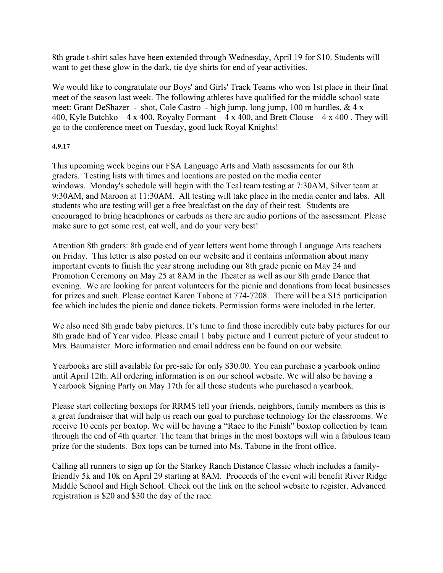8th grade t-shirt sales have been extended through Wednesday, April 19 for \$10. Students will want to get these glow in the dark, tie dye shirts for end of year activities.

We would like to congratulate our Boys' and Girls' Track Teams who won 1st place in their final meet of the season last week. The following athletes have qualified for the middle school state meet: Grant DeShazer - shot, Cole Castro - high jump, long jump, 100 m hurdles, & 4 x 400, Kyle Butchko – 4 x 400, Royalty Formant – 4 x 400, and Brett Clouse – 4 x 400. They will go to the conference meet on Tuesday, good luck Royal Knights!

#### **4.9.17**

This upcoming week begins our FSA Language Arts and Math assessments for our 8th graders. Testing lists with times and locations are posted on the media center windows. Monday's schedule will begin with the Teal team testing at 7:30AM, Silver team at 9:30AM, and Maroon at 11:30AM. All testing will take place in the media center and labs. All students who are testing will get a free breakfast on the day of their test. Students are encouraged to bring headphones or earbuds as there are audio portions of the assessment. Please make sure to get some rest, eat well, and do your very best!

Attention 8th graders: 8th grade end of year letters went home through Language Arts teachers on Friday. This letter is also posted on our website and it contains information about many important events to finish the year strong including our 8th grade picnic on May 24 and Promotion Ceremony on May 25 at 8AM in the Theater as well as our 8th grade Dance that evening. We are looking for parent volunteers for the picnic and donations from local businesses for prizes and such. Please contact Karen Tabone at 774-7208. There will be a \$15 participation fee which includes the picnic and dance tickets. Permission forms were included in the letter.

We also need 8th grade baby pictures. It's time to find those incredibly cute baby pictures for our 8th grade End of Year video. Please email 1 baby picture and 1 current picture of your student to Mrs. Baumaister. More information and email address can be found on our website.

Yearbooks are still available for pre-sale for only \$30.00. You can purchase a yearbook online until April 12th. All ordering information is on our school website. We will also be having a Yearbook Signing Party on May 17th for all those students who purchased a yearbook.

Please start collecting boxtops for RRMS tell your friends, neighbors, family members as this is a great fundraiser that will help us reach our goal to purchase technology for the classrooms. We receive 10 cents per boxtop. We will be having a "Race to the Finish" boxtop collection by team through the end of 4th quarter. The team that brings in the most boxtops will win a fabulous team prize for the students. Box tops can be turned into Ms. Tabone in the front office.

Calling all runners to sign up for the Starkey Ranch Distance Classic which includes a familyfriendly 5k and 10k on April 29 starting at 8AM. Proceeds of the event will benefit River Ridge Middle School and High School. Check out the link on the school website to register. Advanced registration is \$20 and \$30 the day of the race.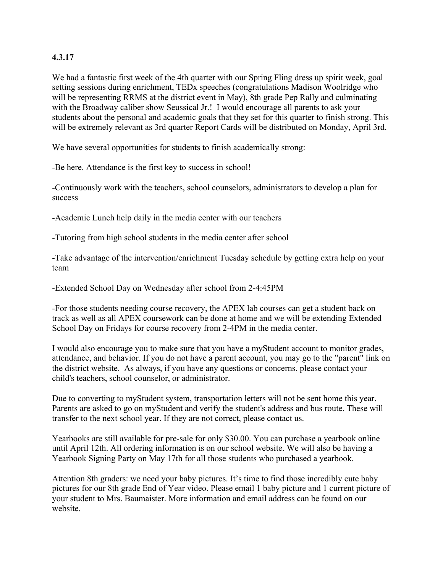### **4.3.17**

We had a fantastic first week of the 4th quarter with our Spring Fling dress up spirit week, goal setting sessions during enrichment, TEDx speeches (congratulations Madison Woolridge who will be representing RRMS at the district event in May), 8th grade Pep Rally and culminating with the Broadway caliber show Seussical Jr.! I would encourage all parents to ask your students about the personal and academic goals that they set for this quarter to finish strong. This will be extremely relevant as 3rd quarter Report Cards will be distributed on Monday, April 3rd.

We have several opportunities for students to finish academically strong:

-Be here. Attendance is the first key to success in school!

-Continuously work with the teachers, school counselors, administrators to develop a plan for success

-Academic Lunch help daily in the media center with our teachers

-Tutoring from high school students in the media center after school

-Take advantage of the intervention/enrichment Tuesday schedule by getting extra help on your team

-Extended School Day on Wednesday after school from 2-4:45PM

-For those students needing course recovery, the APEX lab courses can get a student back on track as well as all APEX coursework can be done at home and we will be extending Extended School Day on Fridays for course recovery from 2-4PM in the media center.

I would also encourage you to make sure that you have a myStudent account to monitor grades, attendance, and behavior. If you do not have a parent account, you may go to the "parent" link on the district website. As always, if you have any questions or concerns, please contact your child's teachers, school counselor, or administrator.

Due to converting to myStudent system, transportation letters will not be sent home this year. Parents are asked to go on myStudent and verify the student's address and bus route. These will transfer to the next school year. If they are not correct, please contact us.

Yearbooks are still available for pre-sale for only \$30.00. You can purchase a yearbook online until April 12th. All ordering information is on our school website. We will also be having a Yearbook Signing Party on May 17th for all those students who purchased a yearbook.

Attention 8th graders: we need your baby pictures. It's time to find those incredibly cute baby pictures for our 8th grade End of Year video. Please email 1 baby picture and 1 current picture of your student to Mrs. Baumaister. More information and email address can be found on our website.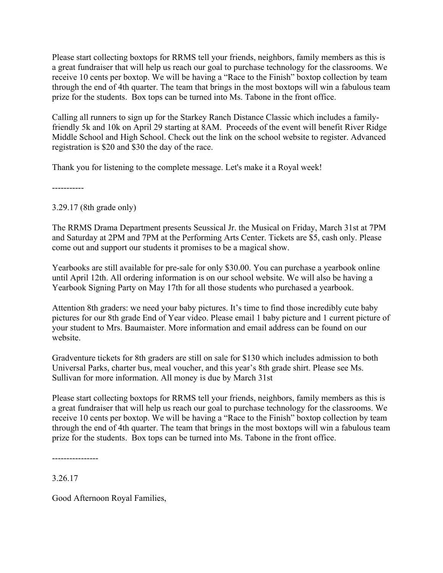Please start collecting boxtops for RRMS tell your friends, neighbors, family members as this is a great fundraiser that will help us reach our goal to purchase technology for the classrooms. We receive 10 cents per boxtop. We will be having a "Race to the Finish" boxtop collection by team through the end of 4th quarter. The team that brings in the most boxtops will win a fabulous team prize for the students. Box tops can be turned into Ms. Tabone in the front office.

Calling all runners to sign up for the Starkey Ranch Distance Classic which includes a familyfriendly 5k and 10k on April 29 starting at 8AM. Proceeds of the event will benefit River Ridge Middle School and High School. Check out the link on the school website to register. Advanced registration is \$20 and \$30 the day of the race.

Thank you for listening to the complete message. Let's make it a Royal week!

-----------

3.29.17 (8th grade only)

The RRMS Drama Department presents Seussical Jr. the Musical on Friday, March 31st at 7PM and Saturday at 2PM and 7PM at the Performing Arts Center. Tickets are \$5, cash only. Please come out and support our students it promises to be a magical show.

Yearbooks are still available for pre-sale for only \$30.00. You can purchase a yearbook online until April 12th. All ordering information is on our school website. We will also be having a Yearbook Signing Party on May 17th for all those students who purchased a yearbook.

Attention 8th graders: we need your baby pictures. It's time to find those incredibly cute baby pictures for our 8th grade End of Year video. Please email 1 baby picture and 1 current picture of your student to Mrs. Baumaister. More information and email address can be found on our website.

Gradventure tickets for 8th graders are still on sale for \$130 which includes admission to both Universal Parks, charter bus, meal voucher, and this year's 8th grade shirt. Please see Ms. Sullivan for more information. All money is due by March 31st

Please start collecting boxtops for RRMS tell your friends, neighbors, family members as this is a great fundraiser that will help us reach our goal to purchase technology for the classrooms. We receive 10 cents per boxtop. We will be having a "Race to the Finish" boxtop collection by team through the end of 4th quarter. The team that brings in the most boxtops will win a fabulous team prize for the students. Box tops can be turned into Ms. Tabone in the front office.

----------------

3.26.17

Good Afternoon Royal Families,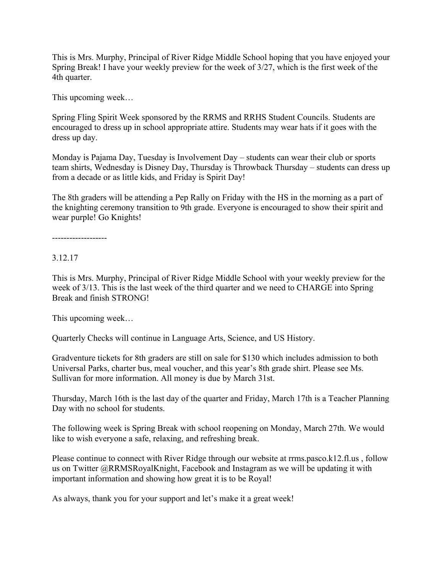This is Mrs. Murphy, Principal of River Ridge Middle School hoping that you have enjoyed your Spring Break! I have your weekly preview for the week of 3/27, which is the first week of the 4th quarter.

This upcoming week…

Spring Fling Spirit Week sponsored by the RRMS and RRHS Student Councils. Students are encouraged to dress up in school appropriate attire. Students may wear hats if it goes with the dress up day.

Monday is Pajama Day, Tuesday is Involvement Day – students can wear their club or sports team shirts, Wednesday is Disney Day, Thursday is Throwback Thursday – students can dress up from a decade or as little kids, and Friday is Spirit Day!

The 8th graders will be attending a Pep Rally on Friday with the HS in the morning as a part of the knighting ceremony transition to 9th grade. Everyone is encouraged to show their spirit and wear purple! Go Knights!

-------------------

3.12.17

This is Mrs. Murphy, Principal of River Ridge Middle School with your weekly preview for the week of 3/13. This is the last week of the third quarter and we need to CHARGE into Spring Break and finish STRONG!

This upcoming week…

Quarterly Checks will continue in Language Arts, Science, and US History.

Gradventure tickets for 8th graders are still on sale for \$130 which includes admission to both Universal Parks, charter bus, meal voucher, and this year's 8th grade shirt. Please see Ms. Sullivan for more information. All money is due by March 31st.

Thursday, March 16th is the last day of the quarter and Friday, March 17th is a Teacher Planning Day with no school for students.

The following week is Spring Break with school reopening on Monday, March 27th. We would like to wish everyone a safe, relaxing, and refreshing break.

Please continue to connect with River Ridge through our website at rrms.pasco.k12.fl.us , follow us on Twitter @RRMSRoyalKnight, Facebook and Instagram as we will be updating it with important information and showing how great it is to be Royal!

As always, thank you for your support and let's make it a great week!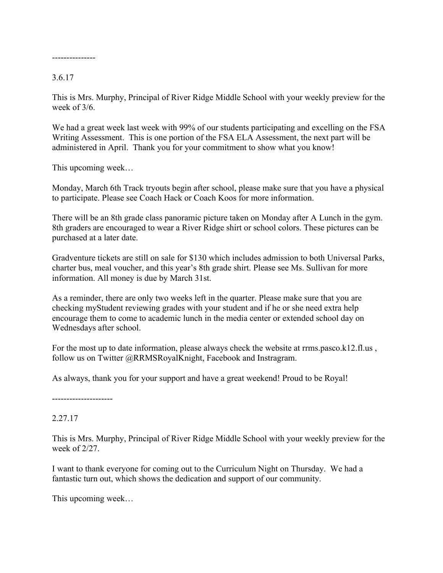---------------

#### 3.6.17

This is Mrs. Murphy, Principal of River Ridge Middle School with your weekly preview for the week of 3/6.

We had a great week last week with 99% of our students participating and excelling on the FSA Writing Assessment. This is one portion of the FSA ELA Assessment, the next part will be administered in April. Thank you for your commitment to show what you know!

This upcoming week…

Monday, March 6th Track tryouts begin after school, please make sure that you have a physical to participate. Please see Coach Hack or Coach Koos for more information.

There will be an 8th grade class panoramic picture taken on Monday after A Lunch in the gym. 8th graders are encouraged to wear a River Ridge shirt or school colors. These pictures can be purchased at a later date.

Gradventure tickets are still on sale for \$130 which includes admission to both Universal Parks, charter bus, meal voucher, and this year's 8th grade shirt. Please see Ms. Sullivan for more information. All money is due by March 31st.

As a reminder, there are only two weeks left in the quarter. Please make sure that you are checking myStudent reviewing grades with your student and if he or she need extra help encourage them to come to academic lunch in the media center or extended school day on Wednesdays after school.

For the most up to date information, please always check the website at rrms.pasco.k12.fl.us , follow us on Twitter @RRMSRoyalKnight, Facebook and Instragram.

As always, thank you for your support and have a great weekend! Proud to be Royal!

---------------------

#### 2.27.17

This is Mrs. Murphy, Principal of River Ridge Middle School with your weekly preview for the week of 2/27.

I want to thank everyone for coming out to the Curriculum Night on Thursday. We had a fantastic turn out, which shows the dedication and support of our community.

This upcoming week…